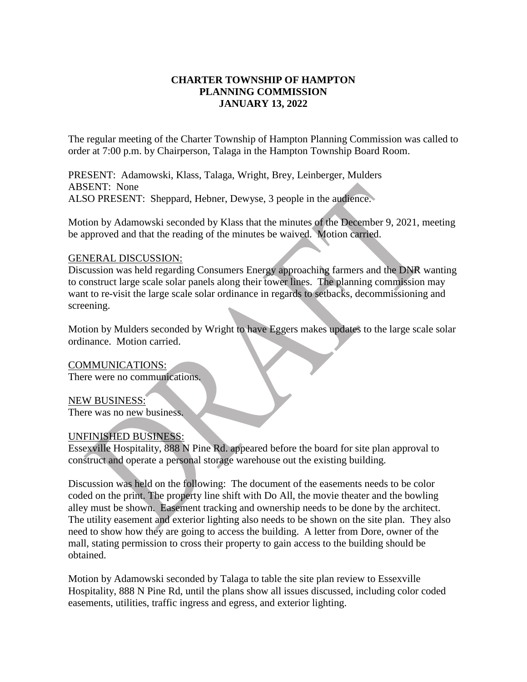# **CHARTER TOWNSHIP OF HAMPTON PLANNING COMMISSION JANUARY 13, 2022**

The regular meeting of the Charter Township of Hampton Planning Commission was called to order at 7:00 p.m. by Chairperson, Talaga in the Hampton Township Board Room.

PRESENT: Adamowski, Klass, Talaga, Wright, Brey, Leinberger, Mulders ABSENT: None ALSO PRESENT: Sheppard, Hebner, Dewyse, 3 people in the audience.

Motion by Adamowski seconded by Klass that the minutes of the December 9, 2021, meeting be approved and that the reading of the minutes be waived. Motion carried.

#### GENERAL DISCUSSION:

Discussion was held regarding Consumers Energy approaching farmers and the DNR wanting to construct large scale solar panels along their tower lines. The planning commission may want to re-visit the large scale solar ordinance in regards to setbacks, decommissioning and screening.

Motion by Mulders seconded by Wright to have Eggers makes updates to the large scale solar ordinance. Motion carried.

COMMUNICATIONS:

There were no communications.

NEW BUSINESS:

There was no new business.

## UNFINISHED BUSINESS:

Essexville Hospitality, 888 N Pine Rd. appeared before the board for site plan approval to construct and operate a personal storage warehouse out the existing building.

Discussion was held on the following: The document of the easements needs to be color coded on the print. The property line shift with Do All, the movie theater and the bowling alley must be shown. Easement tracking and ownership needs to be done by the architect. The utility easement and exterior lighting also needs to be shown on the site plan. They also need to show how they are going to access the building. A letter from Dore, owner of the mall, stating permission to cross their property to gain access to the building should be obtained.

Motion by Adamowski seconded by Talaga to table the site plan review to Essexville Hospitality, 888 N Pine Rd, until the plans show all issues discussed, including color coded easements, utilities, traffic ingress and egress, and exterior lighting.